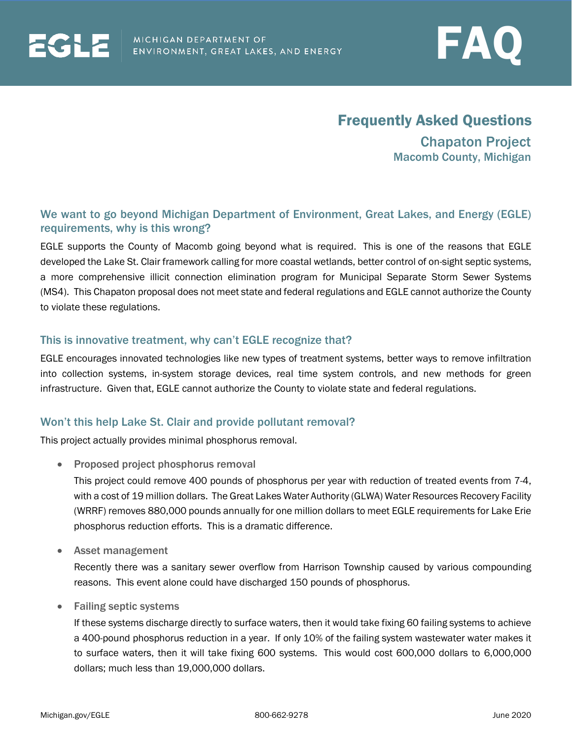

# Frequently Asked Questions

Chapaton Project Macomb County, Michigan

## We want to go beyond Michigan Department of Environment, Great Lakes, and Energy (EGLE) requirements, why is this wrong?

EGLE supports the County of Macomb going beyond what is required. This is one of the reasons that EGLE developed the Lake St. Clair framework calling for more coastal wetlands, better control of on-sight septic systems, a more comprehensive illicit connection elimination program for Municipal Separate Storm Sewer Systems (MS4). This Chapaton proposal does not meet state and federal regulations and EGLE cannot authorize the County to violate these regulations.

### This is innovative treatment, why can't EGLE recognize that?

EGLE encourages innovated technologies like new types of treatment systems, better ways to remove infiltration into collection systems, in-system storage devices, real time system controls, and new methods for green infrastructure. Given that, EGLE cannot authorize the County to violate state and federal regulations.

### Won't this help Lake St. Clair and provide pollutant removal?

This project actually provides minimal phosphorus removal.

• Proposed project phosphorus removal

This project could remove 400 pounds of phosphorus per year with reduction of treated events from 7-4, with a cost of 19 million dollars. The Great Lakes Water Authority (GLWA) Water Resources Recovery Facility (WRRF) removes 880,000 pounds annually for one million dollars to meet EGLE requirements for Lake Erie phosphorus reduction efforts. This is a dramatic difference.

• Asset management

Recently there was a sanitary sewer overflow from Harrison Township caused by various compounding reasons. This event alone could have discharged 150 pounds of phosphorus.

• Failing septic systems

If these systems discharge directly to surface waters, then it would take fixing 60 failing systems to achieve a 400-pound phosphorus reduction in a year. If only 10% of the failing system wastewater water makes it to surface waters, then it will take fixing 600 systems. This would cost 600,000 dollars to 6,000,000 dollars; much less than 19,000,000 dollars.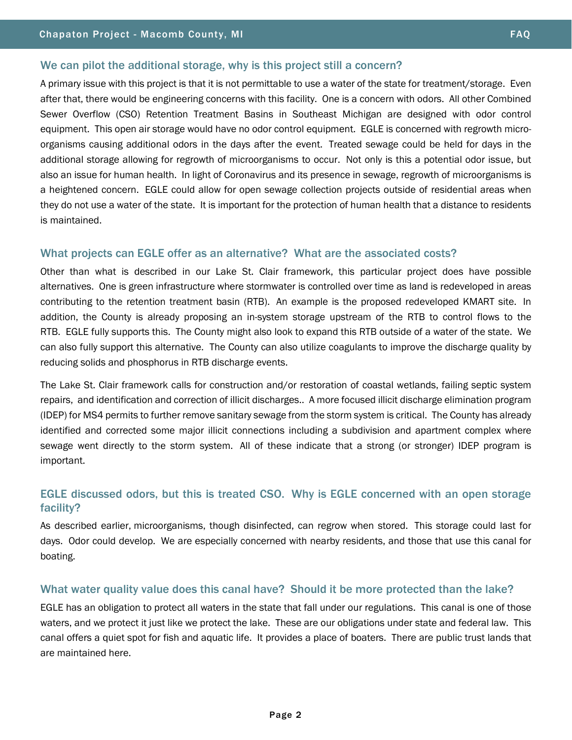#### We can pilot the additional storage, why is this project still a concern?

A primary issue with this project is that it is not permittable to use a water of the state for treatment/storage. Even after that, there would be engineering concerns with this facility. One is a concern with odors. All other Combined Sewer Overflow (CSO) Retention Treatment Basins in Southeast Michigan are designed with odor control equipment. This open air storage would have no odor control equipment. EGLE is concerned with regrowth microorganisms causing additional odors in the days after the event. Treated sewage could be held for days in the additional storage allowing for regrowth of microorganisms to occur. Not only is this a potential odor issue, but also an issue for human health. In light of Coronavirus and its presence in sewage, regrowth of microorganisms is a heightened concern. EGLE could allow for open sewage collection projects outside of residential areas when they do not use a water of the state. It is important for the protection of human health that a distance to residents is maintained.

### What projects can EGLE offer as an alternative? What are the associated costs?

Other than what is described in our Lake St. Clair framework, this particular project does have possible alternatives. One is green infrastructure where stormwater is controlled over time as land is redeveloped in areas contributing to the retention treatment basin (RTB). An example is the proposed redeveloped KMART site. In addition, the County is already proposing an in-system storage upstream of the RTB to control flows to the RTB. EGLE fully supports this. The County might also look to expand this RTB outside of a water of the state. We can also fully support this alternative. The County can also utilize coagulants to improve the discharge quality by reducing solids and phosphorus in RTB discharge events.

The Lake St. Clair framework calls for construction and/or restoration of coastal wetlands, failing septic system repairs, and identification and correction of illicit discharges.. A more focused illicit discharge elimination program (IDEP) for MS4 permits to further remove sanitary sewage from the storm system is critical. The County has already identified and corrected some major illicit connections including a subdivision and apartment complex where sewage went directly to the storm system. All of these indicate that a strong (or stronger) IDEP program is important.

### EGLE discussed odors, but this is treated CSO. Why is EGLE concerned with an open storage facility?

As described earlier, microorganisms, though disinfected, can regrow when stored. This storage could last for days. Odor could develop. We are especially concerned with nearby residents, and those that use this canal for boating.

### What water quality value does this canal have? Should it be more protected than the lake?

EGLE has an obligation to protect all waters in the state that fall under our regulations. This canal is one of those waters, and we protect it just like we protect the lake. These are our obligations under state and federal law. This canal offers a quiet spot for fish and aquatic life. It provides a place of boaters. There are public trust lands that are maintained here.